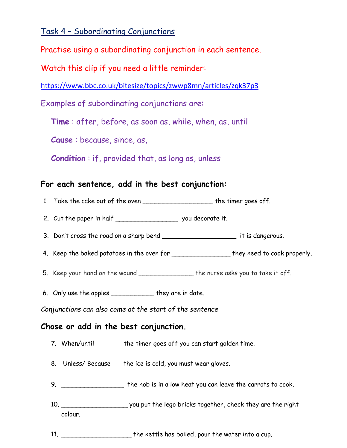Task 4 – Subordinating Conjunctions

Practise using a subordinating conjunction in each sentence.

Watch this clip if you need a little reminder:

<https://www.bbc.co.uk/bitesize/topics/zwwp8mn/articles/zqk37p3>

Examples of subordinating conjunctions are:

**Time** : after, before, as soon as, while, when, as, until

**Cause** : because, since, as,

**Condition** : if, provided that, as long as, unless

## **For each sentence, add in the best conjunction:**

- 1. Take the cake out of the oven \_\_\_\_\_\_\_\_\_\_\_\_\_\_\_\_\_\_\_\_\_\_ the timer goes off.
- 2. Cut the paper in half \_\_\_\_\_\_\_\_\_\_\_\_\_\_\_\_\_\_\_\_\_\_\_\_ you decorate it.
- 3. Don't cross the road on a sharp bend \_\_\_\_\_\_\_\_\_\_\_\_\_\_\_\_\_\_\_\_\_\_\_\_\_\_ it is dangerous.
- 4. Keep the baked potatoes in the oven for \_\_\_\_\_\_\_\_\_\_\_\_\_\_\_\_\_\_ they need to cook properly.
- 5. Keep your hand on the wound \_\_\_\_\_\_\_\_\_\_\_\_\_\_ the nurse asks you to take it off.
- 6. Only use the apples \_\_\_\_\_\_\_\_\_\_\_ they are in date.

*Conjunctions can also come at the start of the sentence*

## **Chose or add in the best conjunction.**

- 7. When/until the timer goes off you can start golden time.
- 8. Unless/ Because the ice is cold, you must wear gloves.
- 9. \_\_\_\_\_\_\_\_\_\_\_\_\_\_\_\_ the hob is in a low heat you can leave the carrots to cook.
- 10. \_\_\_\_\_\_\_\_\_\_\_\_\_\_\_\_\_ you put the lego bricks together, check they are the right colour.
- 11. \_\_\_\_\_\_\_\_\_\_\_\_\_\_\_\_\_\_ the kettle has boiled, pour the water into a cup.